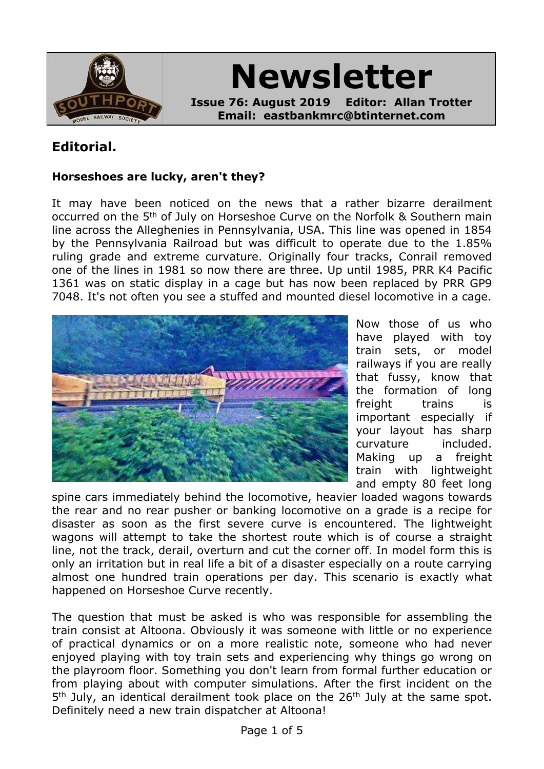

# **Newsletter**

**Issue 76: August 2019 Editor: Allan Trotter Email: eastbankmrc@btinternet.com**

# **Editorial.**

#### **Horseshoes are lucky, aren't they?**

It may have been noticed on the news that a rather bizarre derailment occurred on the 5th of July on Horseshoe Curve on the Norfolk & Southern main line across the Alleghenies in Pennsylvania, USA. This line was opened in 1854 by the Pennsylvania Railroad but was difficult to operate due to the 1.85% ruling grade and extreme curvature. Originally four tracks, Conrail removed one of the lines in 1981 so now there are three. Up until 1985, PRR K4 Pacific 1361 was on static display in a cage but has now been replaced by PRR GP9 7048. It's not often you see a stuffed and mounted diesel locomotive in a cage.



Now those of us who have played with toy train sets, or model railways if you are really that fussy, know that the formation of long freight trains is important especially if your layout has sharp curvature included. Making up a freight train with lightweight and empty 80 feet long

spine cars immediately behind the locomotive, heavier loaded wagons towards the rear and no rear pusher or banking locomotive on a grade is a recipe for disaster as soon as the first severe curve is encountered. The lightweight wagons will attempt to take the shortest route which is of course a straight line, not the track, derail, overturn and cut the corner off. In model form this is only an irritation but in real life a bit of a disaster especially on a route carrying almost one hundred train operations per day. This scenario is exactly what happened on Horseshoe Curve recently.

The question that must be asked is who was responsible for assembling the train consist at Altoona. Obviously it was someone with little or no experience of practical dynamics or on a more realistic note, someone who had never enjoyed playing with toy train sets and experiencing why things go wrong on the playroom floor. Something you don't learn from formal further education or from playing about with computer simulations. After the first incident on the 5<sup>th</sup> July, an identical derailment took place on the 26<sup>th</sup> July at the same spot. Definitely need a new train dispatcher at Altoona!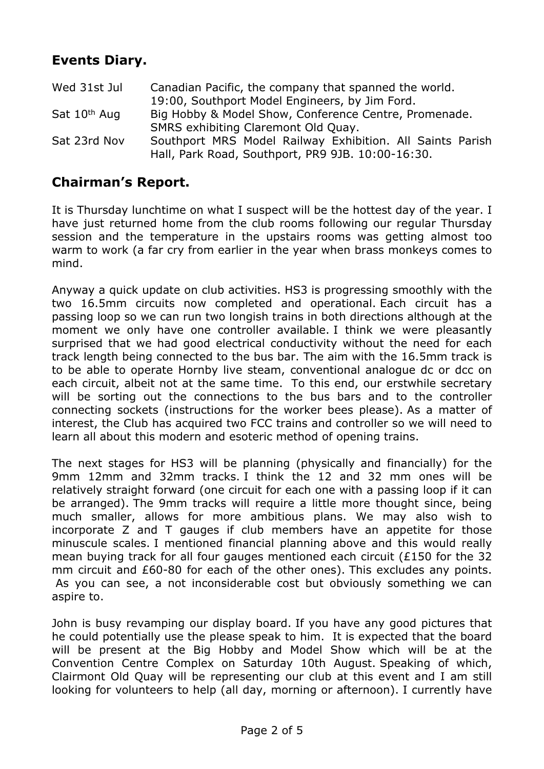## **Events Diary.**

| Wed 31st Jul             | Canadian Pacific, the company that spanned the world.     |
|--------------------------|-----------------------------------------------------------|
|                          | 19:00, Southport Model Engineers, by Jim Ford.            |
| Sat 10 <sup>th</sup> Aug | Big Hobby & Model Show, Conference Centre, Promenade.     |
|                          | SMRS exhibiting Claremont Old Quay.                       |
| Sat 23rd Nov             | Southport MRS Model Railway Exhibition. All Saints Parish |
|                          | Hall, Park Road, Southport, PR9 9JB. 10:00-16:30.         |

### **Chairman's Report.**

It is Thursday lunchtime on what I suspect will be the hottest day of the year. I have just returned home from the club rooms following our regular Thursday session and the temperature in the upstairs rooms was getting almost too warm to work (a far cry from earlier in the year when brass monkeys comes to mind.

Anyway a quick update on club activities. HS3 is progressing smoothly with the two 16.5mm circuits now completed and operational. Each circuit has a passing loop so we can run two longish trains in both directions although at the moment we only have one controller available. I think we were pleasantly surprised that we had good electrical conductivity without the need for each track length being connected to the bus bar. The aim with the 16.5mm track is to be able to operate Hornby live steam, conventional analogue dc or dcc on each circuit, albeit not at the same time. To this end, our erstwhile secretary will be sorting out the connections to the bus bars and to the controller connecting sockets (instructions for the worker bees please). As a matter of interest, the Club has acquired two FCC trains and controller so we will need to learn all about this modern and esoteric method of opening trains.

The next stages for HS3 will be planning (physically and financially) for the 9mm 12mm and 32mm tracks. I think the 12 and 32 mm ones will be relatively straight forward (one circuit for each one with a passing loop if it can be arranged). The 9mm tracks will require a little more thought since, being much smaller, allows for more ambitious plans. We may also wish to incorporate Z and T gauges if club members have an appetite for those minuscule scales. I mentioned financial planning above and this would really mean buying track for all four gauges mentioned each circuit (£150 for the 32 mm circuit and £60-80 for each of the other ones). This excludes any points. As you can see, a not inconsiderable cost but obviously something we can aspire to.

John is busy revamping our display board. If you have any good pictures that he could potentially use the please speak to him. It is expected that the board will be present at the Big Hobby and Model Show which will be at the Convention Centre Complex on Saturday 10th August. Speaking of which, Clairmont Old Quay will be representing our club at this event and I am still looking for volunteers to help (all day, morning or afternoon). I currently have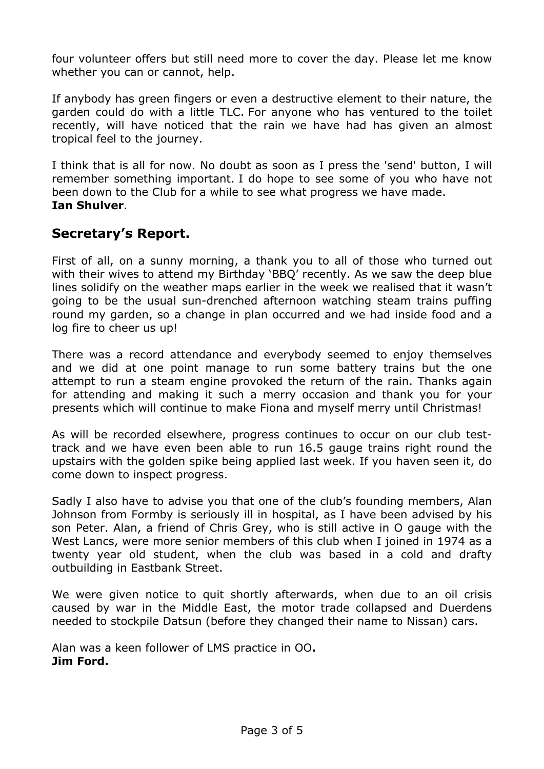four volunteer offers but still need more to cover the day. Please let me know whether you can or cannot, help.

If anybody has green fingers or even a destructive element to their nature, the garden could do with a little TLC. For anyone who has ventured to the toilet recently, will have noticed that the rain we have had has given an almost tropical feel to the journey.

I think that is all for now. No doubt as soon as I press the 'send' button, I will remember something important. I do hope to see some of you who have not been down to the Club for a while to see what progress we have made. **Ian Shulver**.

#### **Secretary's Report.**

First of all, on a sunny morning, a thank you to all of those who turned out with their wives to attend my Birthday 'BBQ' recently. As we saw the deep blue lines solidify on the weather maps earlier in the week we realised that it wasn't going to be the usual sun-drenched afternoon watching steam trains puffing round my garden, so a change in plan occurred and we had inside food and a log fire to cheer us up!

There was a record attendance and everybody seemed to enjoy themselves and we did at one point manage to run some battery trains but the one attempt to run a steam engine provoked the return of the rain. Thanks again for attending and making it such a merry occasion and thank you for your presents which will continue to make Fiona and myself merry until Christmas!

As will be recorded elsewhere, progress continues to occur on our club testtrack and we have even been able to run 16.5 gauge trains right round the upstairs with the golden spike being applied last week. If you haven seen it, do come down to inspect progress.

Sadly I also have to advise you that one of the club's founding members, Alan Johnson from Formby is seriously ill in hospital, as I have been advised by his son Peter. Alan, a friend of Chris Grey, who is still active in O gauge with the West Lancs, were more senior members of this club when I joined in 1974 as a twenty year old student, when the club was based in a cold and drafty outbuilding in Eastbank Street.

We were given notice to quit shortly afterwards, when due to an oil crisis caused by war in the Middle East, the motor trade collapsed and Duerdens needed to stockpile Datsun (before they changed their name to Nissan) cars.

Alan was a keen follower of LMS practice in OO**. Jim Ford.**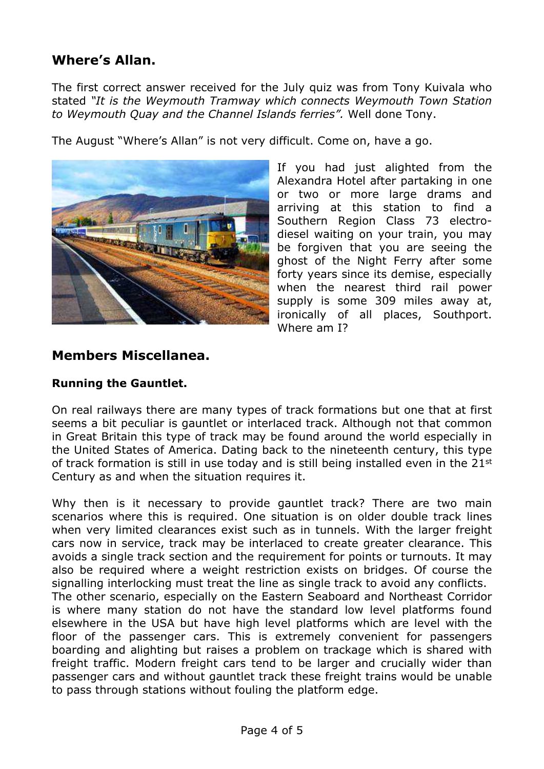# **Where's Allan.**

The first correct answer received for the July quiz was from Tony Kuivala who stated *"It is the Weymouth Tramway which connects Weymouth Town Station to Weymouth Quay and the Channel Islands ferries".* Well done Tony.

The August "Where's Allan" is not very difficult. Come on, have a go.



If you had just alighted from the Alexandra Hotel after partaking in one or two or more large drams and arriving at this station to find a Southern Region Class 73 electrodiesel waiting on your train, you may be forgiven that you are seeing the ghost of the Night Ferry after some forty years since its demise, especially when the nearest third rail power supply is some 309 miles away at, ironically of all places, Southport. Where am I?

## **Members Miscellanea.**

#### **Running the Gauntlet.**

On real railways there are many types of track formations but one that at first seems a bit peculiar is gauntlet or interlaced track. Although not that common in Great Britain this type of track may be found around the world especially in the United States of America. Dating back to the nineteenth century, this type of track formation is still in use today and is still being installed even in the 21<sup>st</sup> Century as and when the situation requires it.

Why then is it necessary to provide gauntlet track? There are two main scenarios where this is required. One situation is on older double track lines when very limited clearances exist such as in tunnels. With the larger freight cars now in service, track may be interlaced to create greater clearance. This avoids a single track section and the requirement for points or turnouts. It may also be required where a weight restriction exists on bridges. Of course the signalling interlocking must treat the line as single track to avoid any conflicts. The other scenario, especially on the Eastern Seaboard and Northeast Corridor is where many station do not have the standard low level platforms found elsewhere in the USA but have high level platforms which are level with the floor of the passenger cars. This is extremely convenient for passengers boarding and alighting but raises a problem on trackage which is shared with freight traffic. Modern freight cars tend to be larger and crucially wider than passenger cars and without gauntlet track these freight trains would be unable to pass through stations without fouling the platform edge.